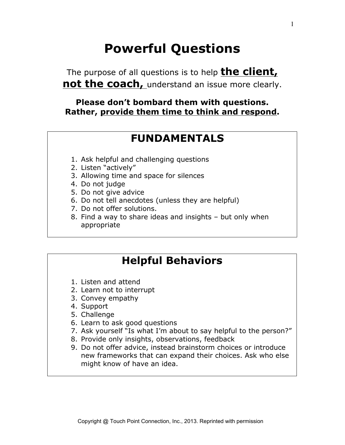# **Powerful Questions**

The purpose of all questions is to help **the client, not the coach,** understand an issue more clearly.

### **Please don't bombard them with questions. Rather, provide them time to think and respond.**

### **FUNDAMENTALS**

- 1. Ask helpful and challenging questions
- 2. Listen "actively"
- 3. Allowing time and space for silences
- 4. Do not judge
- 5. Do not give advice
- 6. Do not tell anecdotes (unless they are helpful)
- 7. Do not offer solutions.
- 8. Find a way to share ideas and insights but only when appropriate

## **Helpful Behaviors**

- 1. Listen and attend
- 2. Learn not to interrupt
- 3. Convey empathy
- 4. Support
- 5. Challenge
- 6. Learn to ask good questions
- 7. Ask yourself "Is what I'm about to say helpful to the person?"
- 8. Provide only insights, observations, feedback
- 9. Do not offer advice, instead brainstorm choices or introduce new frameworks that can expand their choices. Ask who else might know of have an idea.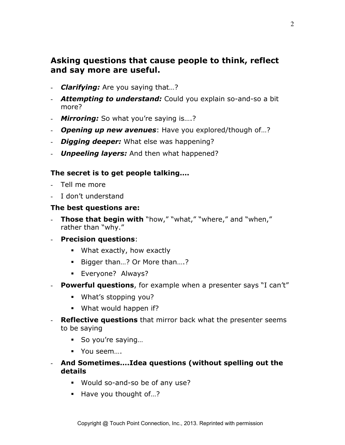### **Asking questions that cause people to think, reflect and say more are useful.**

- *Clarifying:* Are you saying that…?
- *Attempting to understand:* Could you explain so-and-so a bit more?
- *Mirroring:* So what you're saying is….?
- *Opening up new avenues*: Have you explored/though of…?
- *Digging deeper:* What else was happening?
- *Unpeeling layers:* And then what happened?

#### **The secret is to get people talking….**

- Tell me more
- I don't understand

#### **The best questions are:**

- **Those that begin with** "how," "what," "where," and "when," rather than "why."
- **Precision questions**:
	- What exactly, how exactly
	- Bigger than...? Or More than....?
	- § Everyone? Always?
- **Powerful questions**, for example when a presenter says "I can't"
	- § What's stopping you?
	- What would happen if?
- **Reflective questions** that mirror back what the presenter seems to be saying
	- So you're saying...
	- You seem...
- **And Sometimes….Idea questions (without spelling out the details**
	- § Would so-and-so be of any use?
	- Have you thought of...?